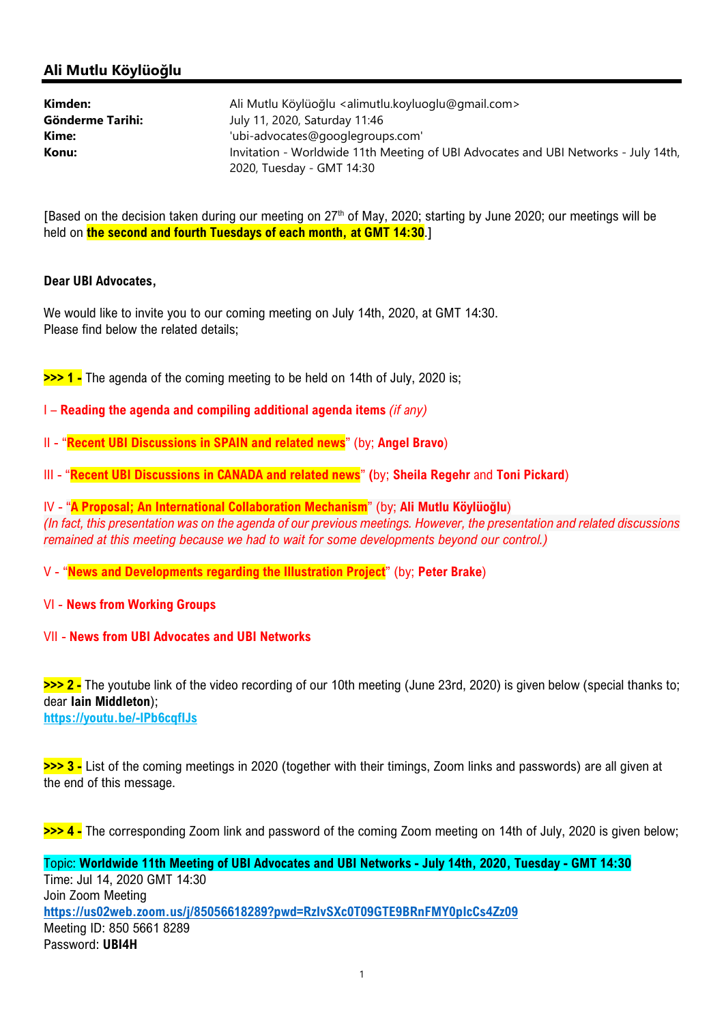## Ali Mutlu Köylüoğlu

| Kimden:          | Ali Mutlu Köylüoğlu <alimutlu.koyluoglu@gmail.com></alimutlu.koyluoglu@gmail.com>                               |
|------------------|-----------------------------------------------------------------------------------------------------------------|
| Gönderme Tarihi: | July 11, 2020, Saturday 11:46                                                                                   |
| Kime:            | 'ubi-advocates@googlegroups.com'                                                                                |
| Konu:            | Invitation - Worldwide 11th Meeting of UBI Advocates and UBI Networks - July 14th,<br>2020, Tuesday - GMT 14:30 |

[Based on the decision taken during our meeting on 27<sup>th</sup> of May, 2020; starting by June 2020; our meetings will be held on **the second and fourth Tuesdays of each month, at GMT 14:30.**]

## Dear UBI Advocates,

We would like to invite you to our coming meeting on July 14th, 2020, at GMT 14:30. Please find below the related details;

>>> 1 - The agenda of the coming meeting to be held on 14th of July, 2020 is;

- I Reading the agenda and compiling additional agenda items (if any)
- II "Recent UBI Discussions in SPAIN and related news" (by; Angel Bravo)
- III "Recent UBI Discussions in CANADA and related news" (by; Sheila Regehr and Toni Pickard)

IV - "A Proposal; An International Collaboration Mechanism" (by; Ali Mutlu Köylüoğlu) (In fact, this presentation was on the agenda of our previous meetings. However, the presentation and related discussions remained at this meeting because we had to wait for some developments beyond our control.)

- V "News and Developments regarding the Illustration Project" (by; Peter Brake)
- VI News from Working Groups
- VII News from UBI Advocates and UBI Networks

>>> 2 - The youtube link of the video recording of our 10th meeting (June 23rd, 2020) is given below (special thanks to; dear Iain Middleton); https://youtu.be/-lPb6cqfIJs

>>> 3 - List of the coming meetings in 2020 (together with their timings, Zoom links and passwords) are all given at the end of this message.

>>> 4 - The corresponding Zoom link and password of the coming Zoom meeting on 14th of July, 2020 is given below;

Topic: Worldwide 11th Meeting of UBI Advocates and UBI Networks - July 14th, 2020, Tuesday - GMT 14:30 Time: Jul 14, 2020 GMT 14:30 Join Zoom Meeting https://us02web.zoom.us/j/85056618289?pwd=RzIvSXc0T09GTE9BRnFMY0pIcCs4Zz09 Meeting ID: 850 5661 8289 Password: UBI4H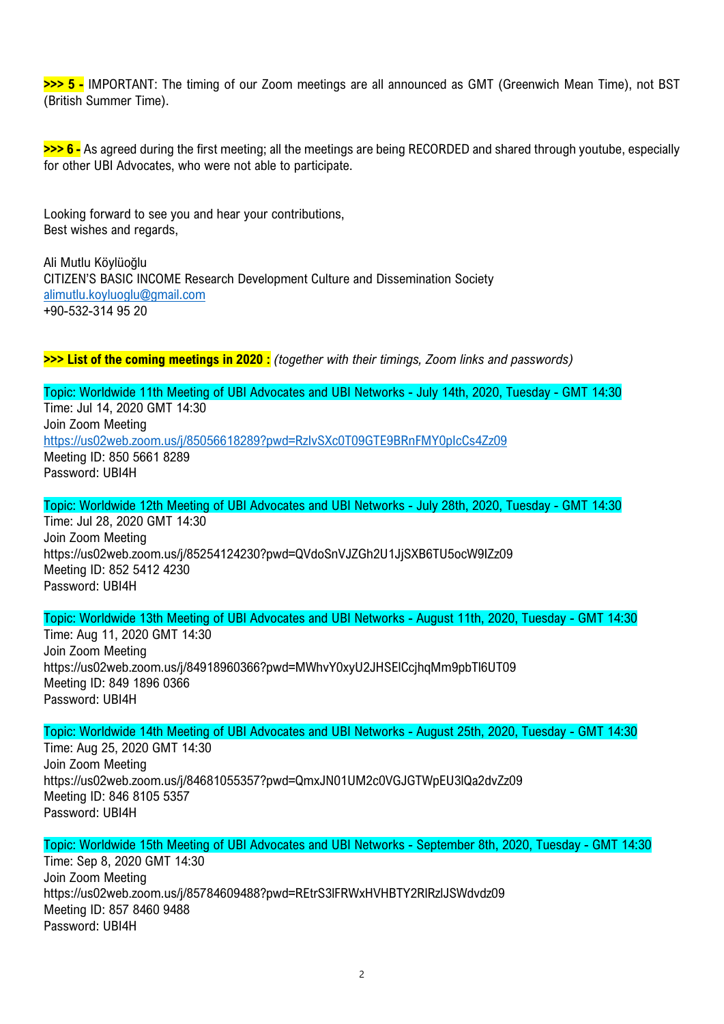>>> 5 - IMPORTANT: The timing of our Zoom meetings are all announced as GMT (Greenwich Mean Time), not BST (British Summer Time).

>>> 6 - As agreed during the first meeting; all the meetings are being RECORDED and shared through youtube, especially for other UBI Advocates, who were not able to participate.

Looking forward to see you and hear your contributions, Best wishes and regards,

Ali Mutlu Köylüoğlu CITIZEN'S BASIC INCOME Research Development Culture and Dissemination Society alimutlu.koyluoglu@gmail.com +90-532-314 95 20

>>> List of the coming meetings in 2020 : (together with their timings, Zoom links and passwords)

Topic: Worldwide 11th Meeting of UBI Advocates and UBI Networks - July 14th, 2020, Tuesday - GMT 14:30 Time: Jul 14, 2020 GMT 14:30 Join Zoom Meeting https://us02web.zoom.us/j/85056618289?pwd=RzIvSXc0T09GTE9BRnFMY0pIcCs4Zz09 Meeting ID: 850 5661 8289 Password: UBI4H

Topic: Worldwide 12th Meeting of UBI Advocates and UBI Networks - July 28th, 2020, Tuesday - GMT 14:30 Time: Jul 28, 2020 GMT 14:30 Join Zoom Meeting https://us02web.zoom.us/j/85254124230?pwd=QVdoSnVJZGh2U1JjSXB6TU5ocW9IZz09 Meeting ID: 852 5412 4230 Password: UBI4H

Topic: Worldwide 13th Meeting of UBI Advocates and UBI Networks - August 11th, 2020, Tuesday - GMT 14:30 Time: Aug 11, 2020 GMT 14:30 Join Zoom Meeting https://us02web.zoom.us/j/84918960366?pwd=MWhvY0xyU2JHSElCcjhqMm9pbTl6UT09 Meeting ID: 849 1896 0366 Password: UBI4H

Topic: Worldwide 14th Meeting of UBI Advocates and UBI Networks - August 25th, 2020, Tuesday - GMT 14:30 Time: Aug 25, 2020 GMT 14:30 Join Zoom Meeting https://us02web.zoom.us/j/84681055357?pwd=QmxJN01UM2c0VGJGTWpEU3lQa2dvZz09 Meeting ID: 846 8105 5357 Password: UBI4H

Topic: Worldwide 15th Meeting of UBI Advocates and UBI Networks - September 8th, 2020, Tuesday - GMT 14:30 Time: Sep 8, 2020 GMT 14:30 Join Zoom Meeting https://us02web.zoom.us/j/85784609488?pwd=REtrS3lFRWxHVHBTY2RlRzlJSWdvdz09 Meeting ID: 857 8460 9488 Password: UBI4H